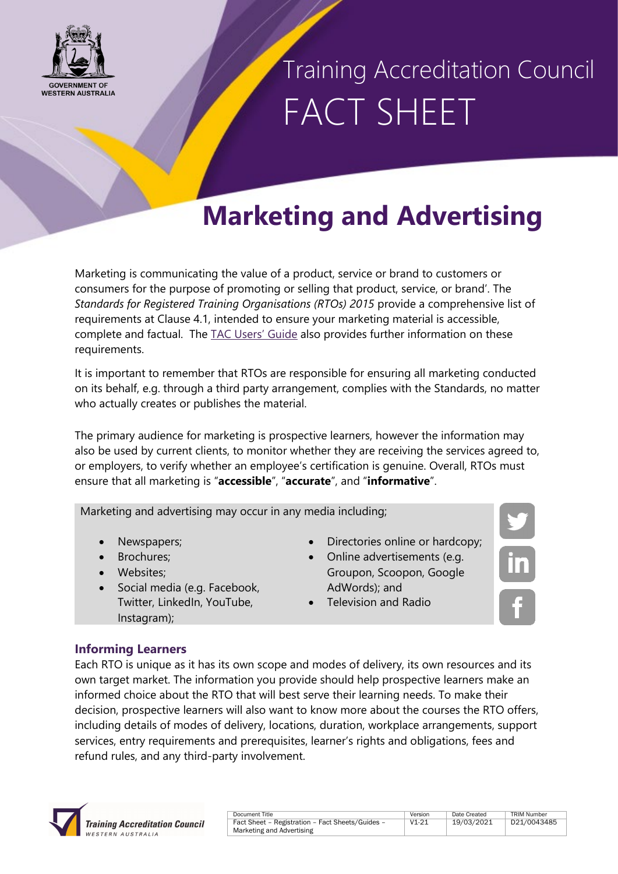

# Training Accreditation Council FACT SHEET

## **Marketing and Advertising**

Marketing is communicating the value of a product, service or brand to customers or consumers for the purpose of promoting or selling that product, service, or brand'. The *Standards for Registered Training Organisations (RTOs) 2015* provide a comprehensive list of requirements at Clause 4.1, intended to ensure your marketing material is accessible, complete and factual. The [TAC Users' Guide](https://tac.wa.gov.au/StandardsRTOs2015/Pages/Users%e2%80%99-Guide-.aspx) also provides further information on these requirements.

It is important to remember that RTOs are responsible for ensuring all marketing conducted on its behalf, e.g. through a third party arrangement, complies with the Standards, no matter who actually creates or publishes the material.

The primary audience for marketing is prospective learners, however the information may also be used by current clients, to monitor whether they are receiving the services agreed to, or employers, to verify whether an employee's certification is genuine. Overall, RTOs must ensure that all marketing is "**accessible**", "**accurate**", and "**informative**".

Marketing and advertising may occur in any media including;

- Newspapers;
- Brochures:
- Websites:
- Social media (e.g. Facebook, Twitter, LinkedIn, YouTube, Instagram);
- Directories online or hardcopy;
- Online advertisements (e.g. Groupon, Scoopon, Google AdWords); and
- Television and Radio

### **Informing Learners**

Each RTO is unique as it has its own scope and modes of delivery, its own resources and its own target market. The information you provide should help prospective learners make an informed choice about the RTO that will best serve their learning needs. To make their decision, prospective learners will also want to know more about the courses the RTO offers, including details of modes of delivery, locations, duration, workplace arrangements, support services, entry requirements and prerequisites, learner's rights and obligations, fees and refund rules, and any third-party involvement.



| Document Title                                   | Version | Date Created | <b>TRIM Number</b> |
|--------------------------------------------------|---------|--------------|--------------------|
| Fact Sheet - Registration - Fact Sheets/Guides - | $V1-21$ | 19/03/2021   | D21/00434          |
| Marketing and Advertising                        |         |              |                    |

| nn | Date Created | <b>TRIM Number</b> |
|----|--------------|--------------------|
| ؛1 | 19/03/2021   | D21/0043485        |
|    |              |                    |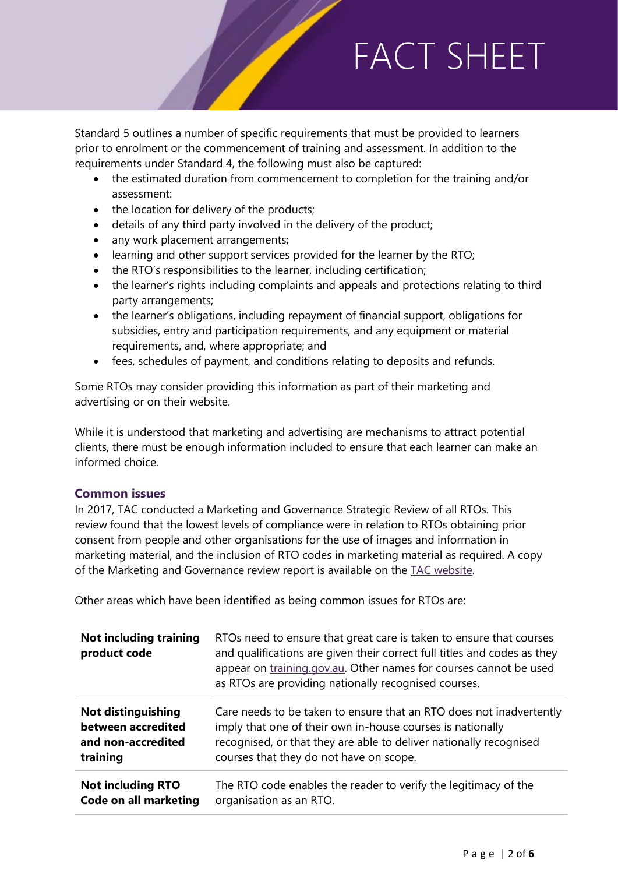Standard 5 outlines a number of specific requirements that must be provided to learners prior to enrolment or the commencement of training and assessment. In addition to the requirements under Standard 4, the following must also be captured:

- the estimated duration from commencement to completion for the training and/or assessment:
- the location for delivery of the products;
- details of any third party involved in the delivery of the product;
- any work placement arrangements;
- learning and other support services provided for the learner by the RTO;
- the RTO's responsibilities to the learner, including certification;
- the learner's rights including complaints and appeals and protections relating to third party arrangements;
- the learner's obligations, including repayment of financial support, obligations for subsidies, entry and participation requirements, and any equipment or material requirements, and, where appropriate; and
- fees, schedules of payment, and conditions relating to deposits and refunds.

Some RTOs may consider providing this information as part of their marketing and advertising or on their website.

While it is understood that marketing and advertising are mechanisms to attract potential clients, there must be enough information included to ensure that each learner can make an informed choice.

### **Common issues**

In 2017, TAC conducted a Marketing and Governance Strategic Review of all RTOs. This review found that the lowest levels of compliance were in relation to RTOs obtaining prior consent from people and other organisations for the use of images and information in marketing material, and the inclusion of RTO codes in marketing material as required. A copy of the Marketing and Governance review report is available on the TAC website.

Other areas which have been identified as being common issues for RTOs are:

| <b>Not including training</b><br>product code | RTOs need to ensure that great care is taken to ensure that courses<br>and qualifications are given their correct full titles and codes as they<br>appear on training.gov.au. Other names for courses cannot be used<br>as RTOs are providing nationally recognised courses. |
|-----------------------------------------------|------------------------------------------------------------------------------------------------------------------------------------------------------------------------------------------------------------------------------------------------------------------------------|
| <b>Not distinguishing</b>                     | Care needs to be taken to ensure that an RTO does not inadvertently                                                                                                                                                                                                          |
| between accredited                            | imply that one of their own in-house courses is nationally                                                                                                                                                                                                                   |
| and non-accredited                            | recognised, or that they are able to deliver nationally recognised                                                                                                                                                                                                           |
| training                                      | courses that they do not have on scope.                                                                                                                                                                                                                                      |
| <b>Not including RTO</b>                      | The RTO code enables the reader to verify the legitimacy of the                                                                                                                                                                                                              |
| <b>Code on all marketing</b>                  | organisation as an RTO.                                                                                                                                                                                                                                                      |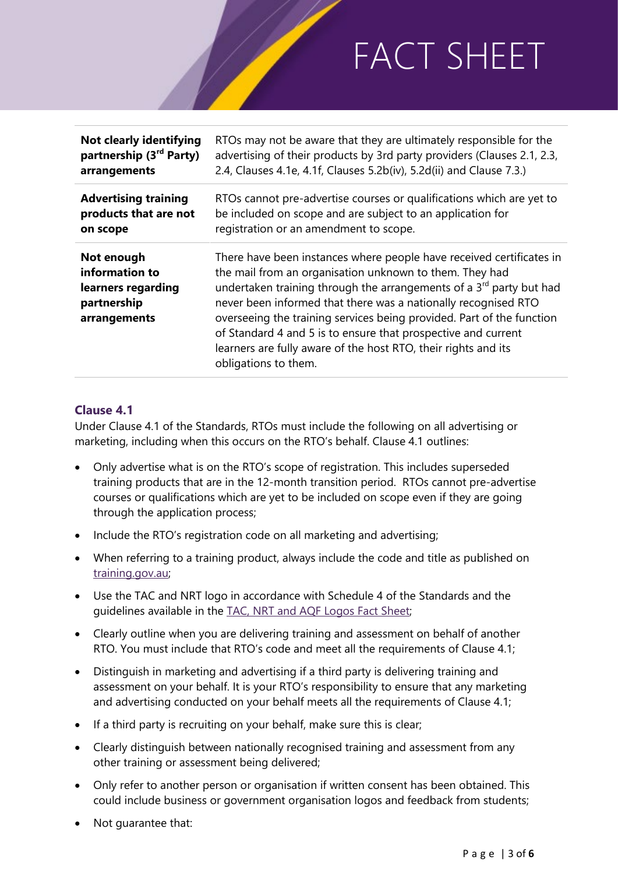| Not clearly identifying                                                           | RTOs may not be aware that they are ultimately responsible for the                                                                                                                                                                                                                                                                                                                                                                                                                                                       |
|-----------------------------------------------------------------------------------|--------------------------------------------------------------------------------------------------------------------------------------------------------------------------------------------------------------------------------------------------------------------------------------------------------------------------------------------------------------------------------------------------------------------------------------------------------------------------------------------------------------------------|
| partnership (3 <sup>rd</sup> Party)                                               | advertising of their products by 3rd party providers (Clauses 2.1, 2.3,                                                                                                                                                                                                                                                                                                                                                                                                                                                  |
| arrangements                                                                      | 2.4, Clauses 4.1e, 4.1f, Clauses 5.2b(iv), 5.2d(ii) and Clause 7.3.)                                                                                                                                                                                                                                                                                                                                                                                                                                                     |
| <b>Advertising training</b>                                                       | RTOs cannot pre-advertise courses or qualifications which are yet to                                                                                                                                                                                                                                                                                                                                                                                                                                                     |
| products that are not                                                             | be included on scope and are subject to an application for                                                                                                                                                                                                                                                                                                                                                                                                                                                               |
| on scope                                                                          | registration or an amendment to scope.                                                                                                                                                                                                                                                                                                                                                                                                                                                                                   |
| Not enough<br>information to<br>learners regarding<br>partnership<br>arrangements | There have been instances where people have received certificates in<br>the mail from an organisation unknown to them. They had<br>undertaken training through the arrangements of a 3 <sup>rd</sup> party but had<br>never been informed that there was a nationally recognised RTO<br>overseeing the training services being provided. Part of the function<br>of Standard 4 and 5 is to ensure that prospective and current<br>learners are fully aware of the host RTO, their rights and its<br>obligations to them. |

### **Clause 4.1**

Under Clause 4.1 of the Standards, RTOs must include the following on all advertising or marketing, including when this occurs on the RTO's behalf. Clause 4.1 outlines:

- Only advertise what is on the RTO's scope of registration. This includes superseded training products that are in the 12-month transition period. RTOs cannot pre-advertise courses or qualifications which are yet to be included on scope even if they are going through the application process;
- Include the RTO's registration code on all marketing and advertising;
- When referring to a training product, always include the code and title as published on [training.gov.au;](https://training.gov.au/Home/Tga)
- Use the TAC and NRT logo in accordance with Schedule 4 of the Standards and the guidelines available in the [TAC, NRT and AQF](https://tac.wa.gov.au/Pages/TAC%2c-NRT-and-AQF-Logos.aspx) Logos Fact Sheet;
- Clearly outline when you are delivering training and assessment on behalf of another RTO. You must include that RTO's code and meet all the requirements of Clause 4.1;
- Distinguish in marketing and advertising if a third party is delivering training and assessment on your behalf. It is your RTO's responsibility to ensure that any marketing and advertising conducted on your behalf meets all the requirements of Clause 4.1;
- If a third party is recruiting on your behalf, make sure this is clear;
- Clearly distinguish between nationally recognised training and assessment from any other training or assessment being delivered;
- Only refer to another person or organisation if written consent has been obtained. This could include business or government organisation logos and feedback from students;
- Not guarantee that: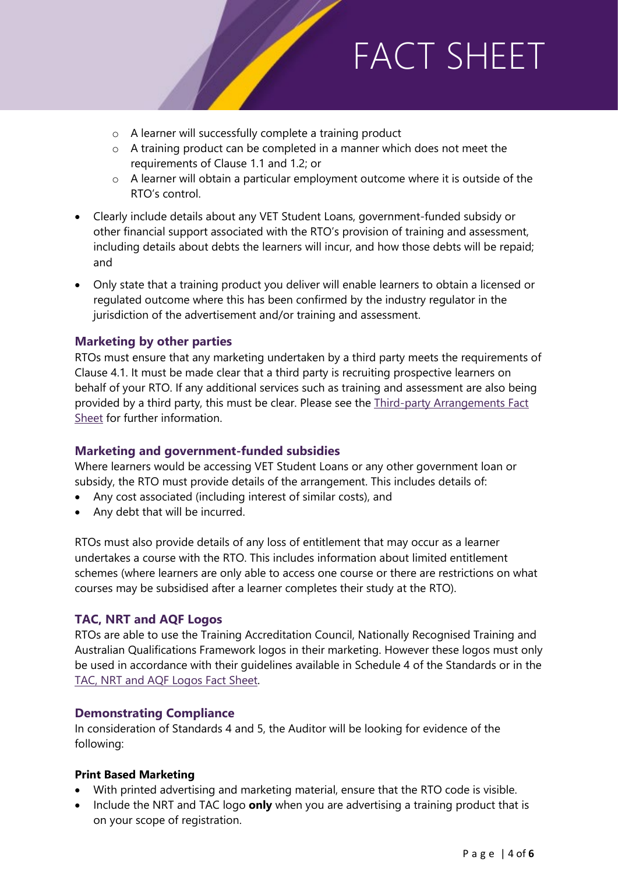- o A learner will successfully complete a training product
- o A training product can be completed in a manner which does not meet the requirements of Clause 1.1 and 1.2; or
- o A learner will obtain a particular employment outcome where it is outside of the RTO's control.
- Clearly include details about any VET Student Loans, government-funded subsidy or other financial support associated with the RTO's provision of training and assessment, including details about debts the learners will incur, and how those debts will be repaid; and
- Only state that a training product you deliver will enable learners to obtain a licensed or regulated outcome where this has been confirmed by the industry regulator in the jurisdiction of the advertisement and/or training and assessment.

### **Marketing by other parties**

RTOs must ensure that any marketing undertaken by a third party meets the requirements of Clause 4.1. It must be made clear that a third party is recruiting prospective learners on behalf of your RTO. If any additional services such as training and assessment are also being provided by a third party, this must be clear. Please see the Third-party Arrangements Fact [Sheet](https://tac.wa.gov.au/Pages/Third-Party-Arrangements.aspx) for further information.

#### **Marketing and government-funded subsidies**

Where learners would be accessing VET Student Loans or any other government loan or subsidy, the RTO must provide details of the arrangement. This includes details of:

- Any cost associated (including interest of similar costs), and
- Any debt that will be incurred.

RTOs must also provide details of any loss of entitlement that may occur as a learner undertakes a course with the RTO. This includes information about limited entitlement schemes (where learners are only able to access one course or there are restrictions on what courses may be subsidised after a learner completes their study at the RTO).

### **TAC, NRT and AQF Logos**

RTOs are able to use the Training Accreditation Council, Nationally Recognised Training and Australian Qualifications Framework logos in their marketing. However these logos must only be used in accordance with their guidelines available in Schedule 4 of the Standards or in the [TAC, NRT and AQF Logos Fact Sheet.](https://tac.wa.gov.au/Pages/TAC%2c-NRT-and-AQF-Logos.aspx)

#### **Demonstrating Compliance**

In consideration of Standards 4 and 5, the Auditor will be looking for evidence of the following:

#### **Print Based Marketing**

- With printed advertising and marketing material, ensure that the RTO code is visible.
- Include the NRT and TAC logo **only** when you are advertising a training product that is on your scope of registration.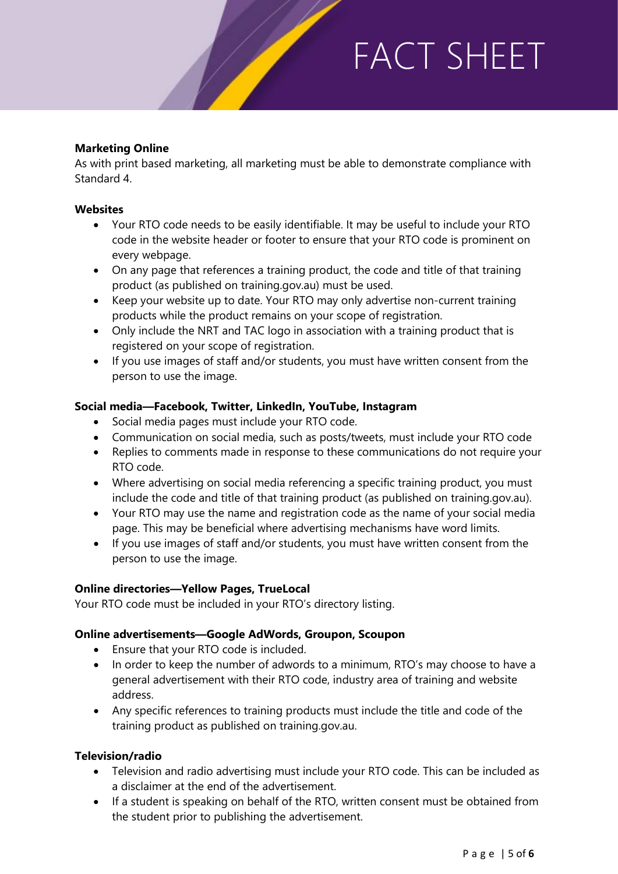### **Marketing Online**

As with print based marketing, all marketing must be able to demonstrate compliance with Standard 4.

#### **Websites**

- Your RTO code needs to be easily identifiable. It may be useful to include your RTO code in the website header or footer to ensure that your RTO code is prominent on every webpage.
- On any page that references a training product, the code and title of that training product (as published on training.gov.au) must be used.
- Keep your website up to date. Your RTO may only advertise non-current training products while the product remains on your scope of registration.
- Only include the NRT and TAC logo in association with a training product that is registered on your scope of registration.
- If you use images of staff and/or students, you must have written consent from the person to use the image.

#### **Social media—Facebook, Twitter, LinkedIn, YouTube, Instagram**

- Social media pages must include your RTO code.
- Communication on social media, such as posts/tweets, must include your RTO code
- Replies to comments made in response to these communications do not require your RTO code.
- Where advertising on social media referencing a specific training product, you must include the code and title of that training product (as published on training.gov.au).
- Your RTO may use the name and registration code as the name of your social media page. This may be beneficial where advertising mechanisms have word limits.
- If you use images of staff and/or students, you must have written consent from the person to use the image.

#### **Online directories—Yellow Pages, TrueLocal**

Your RTO code must be included in your RTO's directory listing.

#### **Online advertisements—Google AdWords, Groupon, Scoupon**

- Ensure that your RTO code is included.
- In order to keep the number of adwords to a minimum, RTO's may choose to have a general advertisement with their RTO code, industry area of training and website address.
- Any specific references to training products must include the title and code of the training product as published on training.gov.au.

#### **Television/radio**

- Television and radio advertising must include your RTO code. This can be included as a disclaimer at the end of the advertisement.
- If a student is speaking on behalf of the RTO, written consent must be obtained from the student prior to publishing the advertisement.